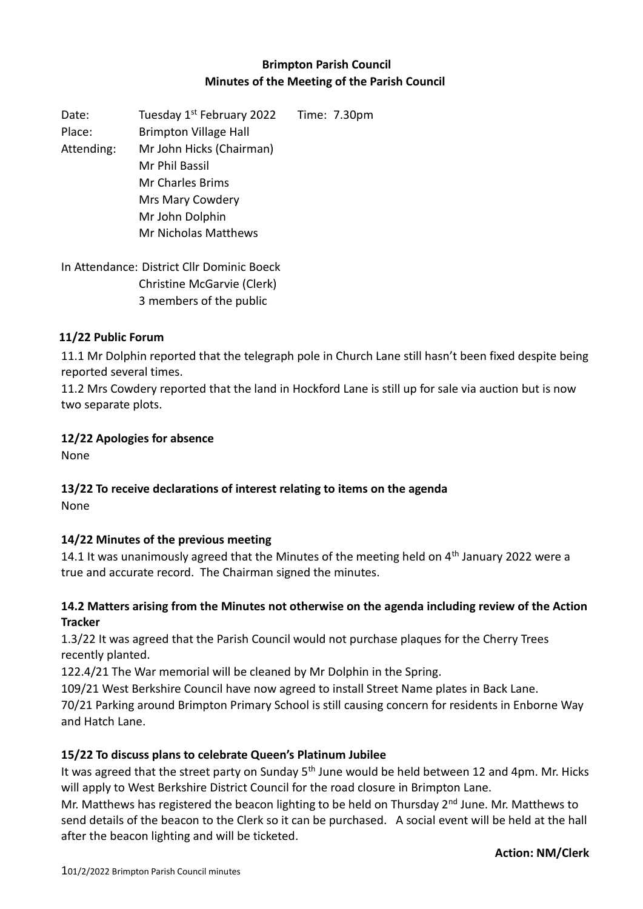## **Brimpton Parish Council Minutes of the Meeting of the Parish Council**

Date: Tuesday 1<sup>st</sup> February 2022 Time: 7.30pm Place: Brimpton Village Hall Attending: Mr John Hicks (Chairman) Mr Phil Bassil Mr Charles Brims Mrs Mary Cowdery Mr John Dolphin Mr Nicholas Matthews

In Attendance: District Cllr Dominic Boeck Christine McGarvie (Clerk) 3 members of the public

#### **11/22 Public Forum**

11.1 Mr Dolphin reported that the telegraph pole in Church Lane still hasn't been fixed despite being reported several times.

11.2 Mrs Cowdery reported that the land in Hockford Lane is still up for sale via auction but is now two separate plots.

#### **12/22 Apologies for absence**

None

## **13/22 To receive declarations of interest relating to items on the agenda**

None

#### **14/22 Minutes of the previous meeting**

14.1 It was unanimously agreed that the Minutes of the meeting held on  $4<sup>th</sup>$  January 2022 were a true and accurate record. The Chairman signed the minutes.

#### **14.2 Matters arising from the Minutes not otherwise on the agenda including review of the Action Tracker**

1.3/22 It was agreed that the Parish Council would not purchase plaques for the Cherry Trees recently planted.

122.4/21 The War memorial will be cleaned by Mr Dolphin in the Spring.

109/21 West Berkshire Council have now agreed to install Street Name plates in Back Lane. 70/21 Parking around Brimpton Primary School is still causing concern for residents in Enborne Way and Hatch Lane.

#### **15/22 To discuss plans to celebrate Queen's Platinum Jubilee**

It was agreed that the street party on Sunday 5<sup>th</sup> June would be held between 12 and 4pm. Mr. Hicks will apply to West Berkshire District Council for the road closure in Brimpton Lane.

Mr. Matthews has registered the beacon lighting to be held on Thursday 2<sup>nd</sup> June. Mr. Matthews to send details of the beacon to the Clerk so it can be purchased. A social event will be held at the hall after the beacon lighting and will be ticketed.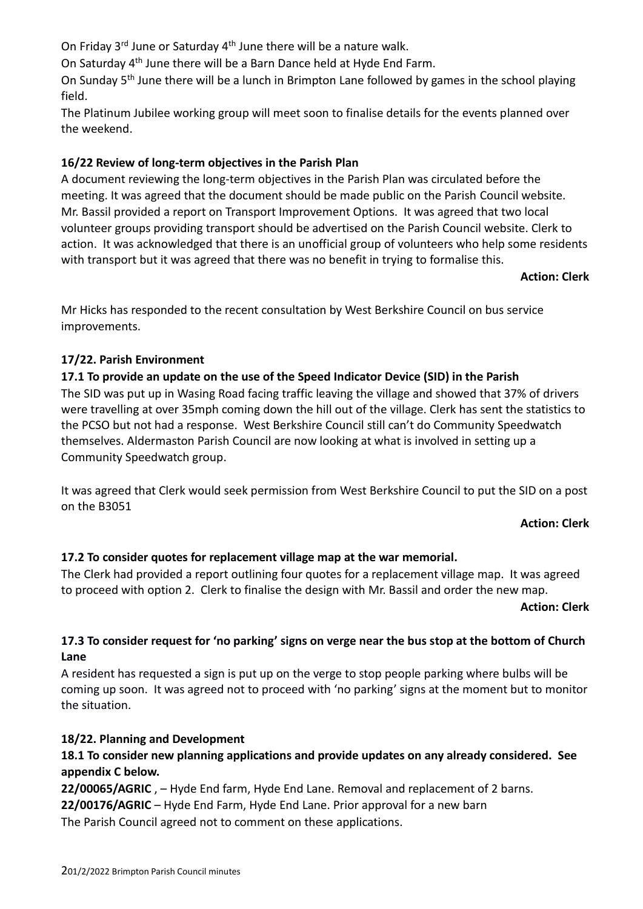On Friday 3<sup>rd</sup> June or Saturday 4<sup>th</sup> June there will be a nature walk.

On Saturday 4th June there will be a Barn Dance held at Hyde End Farm.

On Sunday 5th June there will be a lunch in Brimpton Lane followed by games in the school playing field.

The Platinum Jubilee working group will meet soon to finalise details for the events planned over the weekend.

## **16/22 Review of long-term objectives in the Parish Plan**

A document reviewing the long-term objectives in the Parish Plan was circulated before the meeting. It was agreed that the document should be made public on the Parish Council website. Mr. Bassil provided a report on Transport Improvement Options. It was agreed that two local volunteer groups providing transport should be advertised on the Parish Council website. Clerk to action. It was acknowledged that there is an unofficial group of volunteers who help some residents with transport but it was agreed that there was no benefit in trying to formalise this.

#### **Action: Clerk**

Mr Hicks has responded to the recent consultation by West Berkshire Council on bus service improvements.

## **17/22. Parish Environment**

## **17.1 To provide an update on the use of the Speed Indicator Device (SID) in the Parish**

The SID was put up in Wasing Road facing traffic leaving the village and showed that 37% of drivers were travelling at over 35mph coming down the hill out of the village. Clerk has sent the statistics to the PCSO but not had a response. West Berkshire Council still can't do Community Speedwatch themselves. Aldermaston Parish Council are now looking at what is involved in setting up a Community Speedwatch group.

It was agreed that Clerk would seek permission from West Berkshire Council to put the SID on a post on the B3051

#### **Action: Clerk**

## **17.2 To consider quotes for replacement village map at the war memorial.**

The Clerk had provided a report outlining four quotes for a replacement village map. It was agreed to proceed with option 2. Clerk to finalise the design with Mr. Bassil and order the new map.

**Action: Clerk**

## **17.3 To consider request for 'no parking' signs on verge near the bus stop at the bottom of Church Lane**

A resident has requested a sign is put up on the verge to stop people parking where bulbs will be coming up soon. It was agreed not to proceed with 'no parking' signs at the moment but to monitor the situation.

#### **18/22. Planning and Development**

## **18.1 To consider new planning applications and provide updates on any already considered. See appendix C below.**

22/00065/AGRIC, - Hyde End farm, Hyde End Lane. Removal and replacement of 2 barns.

**22/00176/AGRIC** – Hyde End Farm, Hyde End Lane. Prior approval for a new barn

The Parish Council agreed not to comment on these applications.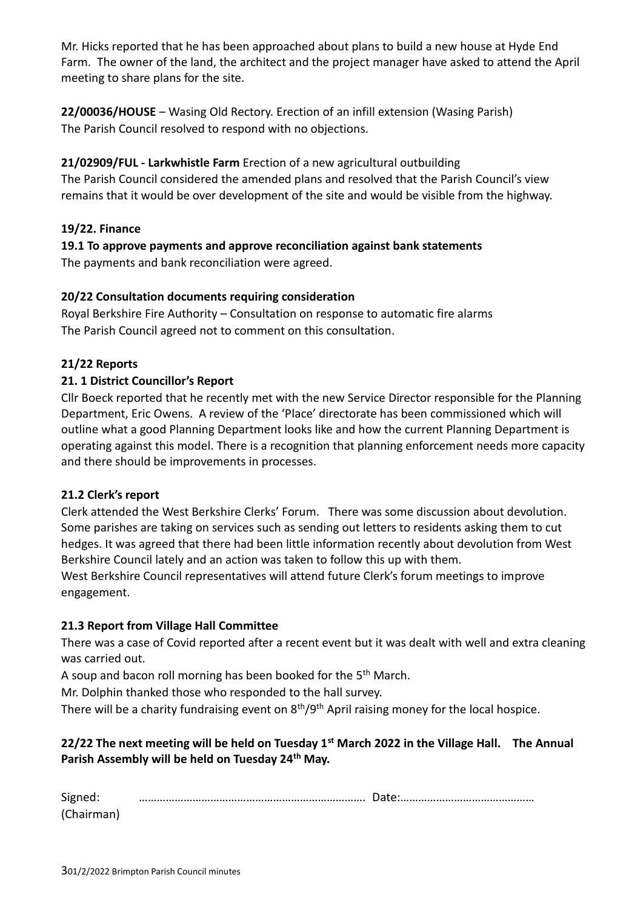Mr. Hicks reported that he has been approached about plans to build a new house at Hyde End Farm. The owner of the land, the architect and the project manager have asked to attend the April meeting to share plans for the site.

**22/00036/HOUSE** – Wasing Old Rectory. Erection of an infill extension (Wasing Parish) The Parish Council resolved to respond with no objections.

## **21/02909/FUL - Larkwhistle Farm** Erection of a new agricultural outbuilding

The Parish Council considered the amended plans and resolved that the Parish Council's view remains that it would be over development of the site and would be visible from the highway.

## **19/22. Finance**

**19.1 To approve payments and approve reconciliation against bank statements** The payments and bank reconciliation were agreed.

## **20/22 Consultation documents requiring consideration**

Royal Berkshire Fire Authority – Consultation on response to automatic fire alarms The Parish Council agreed not to comment on this consultation.

## **21/22 Reports**

## **21. 1 District Councillor's Report**

Cllr Boeck reported that he recently met with the new Service Director responsible for the Planning Department, Eric Owens. A review of the 'Place' directorate has been commissioned which will outline what a good Planning Department looks like and how the current Planning Department is operating against this model. There is a recognition that planning enforcement needs more capacity and there should be improvements in processes.

#### **21.2 Clerk's report**

Clerk attended the West Berkshire Clerks' Forum. There was some discussion about devolution. Some parishes are taking on services such as sending out letters to residents asking them to cut hedges. It was agreed that there had been little information recently about devolution from West Berkshire Council lately and an action was taken to follow this up with them.

West Berkshire Council representatives will attend future Clerk's forum meetings to improve engagement.

#### **21.3 Report from Village Hall Committee**

There was a case of Covid reported after a recent event but it was dealt with well and extra cleaning was carried out.

A soup and bacon roll morning has been booked for the 5th March.

Mr. Dolphin thanked those who responded to the hall survey.

There will be a charity fundraising event on 8<sup>th</sup>/9<sup>th</sup> April raising money for the local hospice.

## **22/22 The next meeting will be held on Tuesday 1st March 2022 in the Village Hall. The Annual Parish Assembly will be held on Tuesday 24th May.**

| Signed:    |  |
|------------|--|
| (Chairman) |  |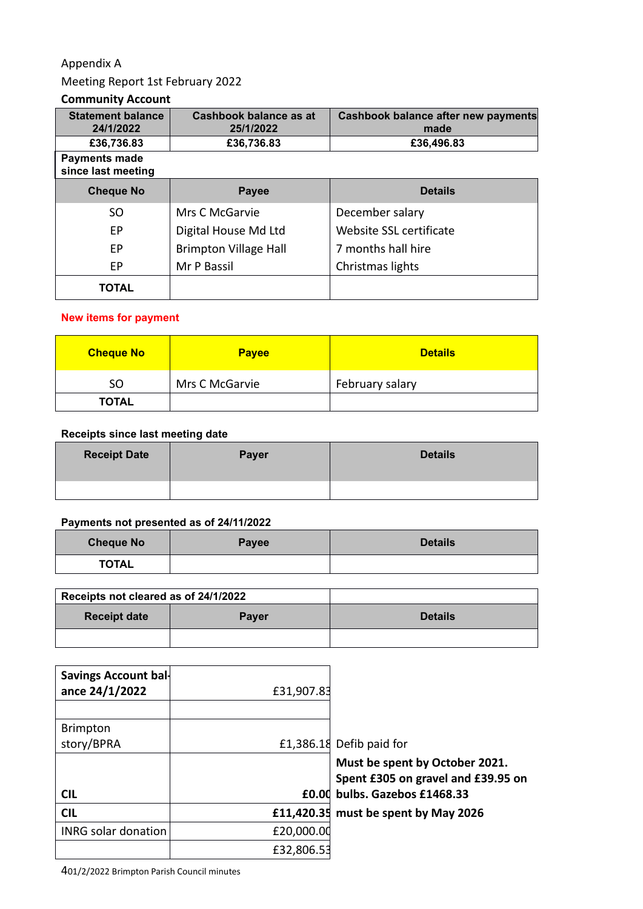## Appendix A

## Meeting Report 1st February 2022

## **Community Account**

| <b>Statement balance</b><br>24/1/2022      | Cashbook balance as at<br>25/1/2022 | <b>Cashbook balance after new payments</b><br>made |  |
|--------------------------------------------|-------------------------------------|----------------------------------------------------|--|
| £36,736.83                                 | £36,736.83                          | £36,496.83                                         |  |
| <b>Payments made</b><br>since last meeting |                                     |                                                    |  |
| <b>Cheque No</b>                           | <b>Payee</b>                        | <b>Details</b>                                     |  |
| SO.                                        | Mrs C McGarvie                      | December salary                                    |  |
| EP.                                        | Digital House Md Ltd                | Website SSL certificate                            |  |
| EP.                                        | <b>Brimpton Village Hall</b>        | 7 months hall hire                                 |  |
| EP                                         | Mr P Bassil                         | Christmas lights                                   |  |
| <b>TOTAL</b>                               |                                     |                                                    |  |

### **New items for payment**

| <b>Cheque No</b> | <b>Payee</b>   | Details         |
|------------------|----------------|-----------------|
| SO               | Mrs C McGarvie | February salary |
| <b>TOTAL</b>     |                |                 |

#### **Receipts since last meeting date**

| <b>Receipt Date</b> | Payer | <b>Details</b> |
|---------------------|-------|----------------|
|                     |       |                |

### **Payments not presented as of 24/11/2022**

| <b>Cheque No</b> | <b>Payee</b> | <b>Details</b> |
|------------------|--------------|----------------|
| <b>TOTAL</b>     |              |                |

| Receipts not cleared as of 24/1/2022 |              |                |
|--------------------------------------|--------------|----------------|
| <b>Receipt date</b>                  | <b>Payer</b> | <b>Details</b> |
|                                      |              |                |

| Savings Account bal-<br>ance 24/1/2022 | £31,907.83 |                                                                      |
|----------------------------------------|------------|----------------------------------------------------------------------|
| <b>Brimpton</b>                        |            |                                                                      |
| story/BPRA                             |            | £1,386.18 Defib paid for                                             |
|                                        |            | Must be spent by October 2021.<br>Spent £305 on gravel and £39.95 on |
| <b>CIL</b>                             |            | £0.00 bulbs. Gazebos £1468.33                                        |
| <b>CIL</b>                             |            | £11,420.35 must be spent by May 2026                                 |
| <b>INRG solar donation</b>             | £20,000.00 |                                                                      |
|                                        | £32,806.53 |                                                                      |

401/2/2022 Brimpton Parish Council minutes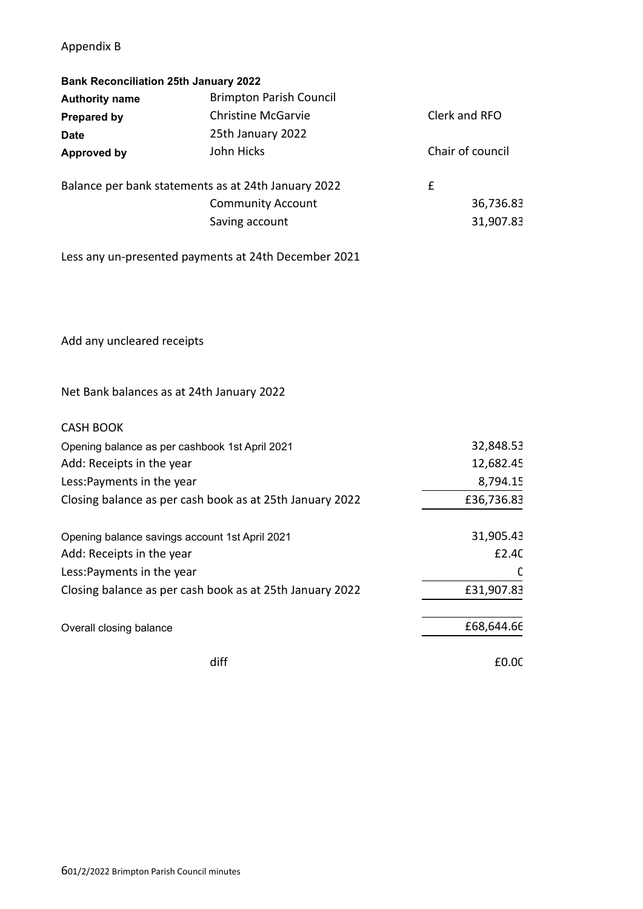## Appendix B

| <b>Bank Reconciliation 25th January 2022</b> |                                                          |                  |
|----------------------------------------------|----------------------------------------------------------|------------------|
| <b>Authority name</b>                        | <b>Brimpton Parish Council</b>                           |                  |
| <b>Prepared by</b>                           | <b>Christine McGarvie</b>                                | Clerk and RFO    |
| <b>Date</b>                                  | 25th January 2022                                        |                  |
| <b>Approved by</b>                           | John Hicks                                               | Chair of council |
|                                              | Balance per bank statements as at 24th January 2022      | £                |
|                                              | <b>Community Account</b>                                 | 36,736.83        |
|                                              | Saving account                                           | 31,907.83        |
|                                              | Less any un-presented payments at 24th December 2021     |                  |
| Add any uncleared receipts                   |                                                          |                  |
| Net Bank balances as at 24th January 2022    |                                                          |                  |
| <b>CASH BOOK</b>                             |                                                          |                  |
|                                              | Opening balance as per cashbook 1st April 2021           | 32,848.53        |
| Add: Receipts in the year                    |                                                          | 12,682.45        |
| Less: Payments in the year                   |                                                          | 8,794.15         |
|                                              | Closing balance as per cash book as at 25th January 2022 | £36,736.83       |
|                                              | Opening balance savings account 1st April 2021           | 31,905.43        |
| Add: Receipts in the year                    |                                                          | £2.40            |
| Less: Payments in the year                   |                                                          | C                |
|                                              | Closing balance as per cash book as at 25th January 2022 | £31,907.83       |
| Overall closing balance                      |                                                          | £68,644.66       |
|                                              | diff                                                     | £0.00            |